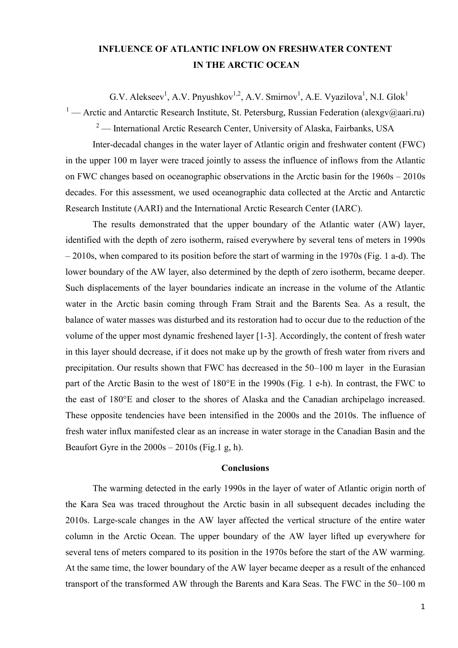## INFLUENCE OF ATLANTIC INFLOW ON FRESHWATER CONTENT IN THE ARCTIC OCEAN

G.V. Alekseev<sup>1</sup>, A.V. Pnyushkov<sup>1,2</sup>, A.V. Smirnov<sup>1</sup>, A.E. Vyazilova<sup>1</sup>, N.I. Glok<sup>1</sup>

<sup>1</sup> — Arctic and Antarctic Research Institute, St. Petersburg, Russian Federation (alexgv@aari.ru)

<sup>2</sup> — International Arctic Research Center, University of Alaska, Fairbanks, USA

Inter-decadal changes in the water layer of Atlantic origin and freshwater content (FWC) in the upper 100 m layer were traced jointly to assess the influence of inflows from the Atlantic on FWC changes based on oceanographic observations in the Arctic basin for the 1960s – 2010s decades. For this assessment, we used oceanographic data collected at the Arctic and Antarctic Research Institute (AARI) and the International Arctic Research Center (IARC).

The results demonstrated that the upper boundary of the Atlantic water (AW) layer, identified with the depth of zero isotherm, raised everywhere by several tens of meters in 1990s – 2010s, when compared to its position before the start of warming in the 1970s (Fig. 1 a-d). The lower boundary of the AW layer, also determined by the depth of zero isotherm, became deeper. Such displacements of the layer boundaries indicate an increase in the volume of the Atlantic water in the Arctic basin coming through Fram Strait and the Barents Sea. As a result, the balance of water masses was disturbed and its restoration had to occur due to the reduction of the volume of the upper most dynamic freshened layer [1-3]. Accordingly, the content of fresh water in this layer should decrease, if it does not make up by the growth of fresh water from rivers and precipitation. Our results shown that FWC has decreased in the 50–100 m layer in the Eurasian part of the Arctic Basin to the west of 180°E in the 1990s (Fig. 1 e-h). In contrast, the FWC to the east of 180°E and closer to the shores of Alaska and the Canadian archipelago increased. These opposite tendencies have been intensified in the 2000s and the 2010s. The influence of fresh water influx manifested clear as an increase in water storage in the Canadian Basin and the Beaufort Gyre in the  $2000s - 2010s$  (Fig.1 g, h).

## Conclusions

The warming detected in the early 1990s in the layer of water of Atlantic origin north of the Kara Sea was traced throughout the Arctic basin in all subsequent decades including the 2010s. Large-scale changes in the AW layer affected the vertical structure of the entire water column in the Arctic Ocean. The upper boundary of the AW layer lifted up everywhere for several tens of meters compared to its position in the 1970s before the start of the AW warming. At the same time, the lower boundary of the AW layer became deeper as a result of the enhanced transport of the transformed AW through the Barents and Kara Seas. The FWC in the 50–100 m